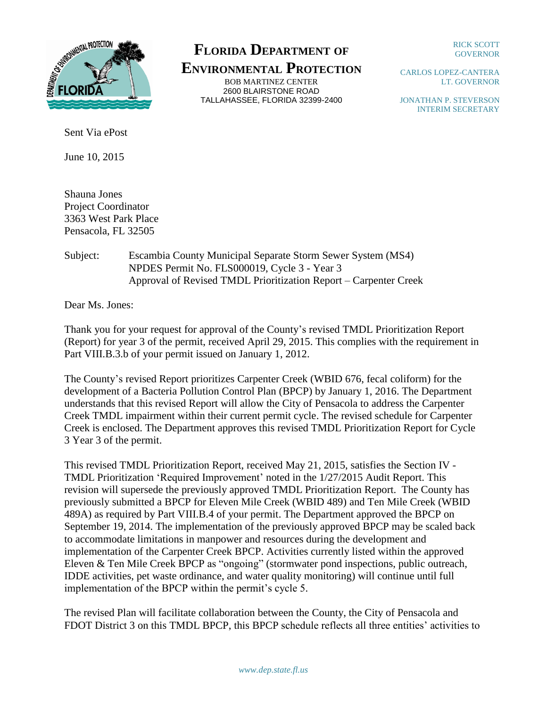

## **FLORIDA DEPARTMENT OF**

**ENVIRONMENTAL PROTECTION** BOB MARTINEZ CENTER 2600 BLAIRSTONE ROAD TALLAHASSEE, FLORIDA 32399-2400

RICK SCOTT GOVERNOR

CARLOS LOPEZ-CANTERA LT. GOVERNOR

JONATHAN P. STEVERSON INTERIM SECRETARY

Sent Via ePost

June 10, 2015

Shauna Jones Project Coordinator 3363 West Park Place Pensacola, FL 32505

Subject: Escambia County Municipal Separate Storm Sewer System (MS4) NPDES Permit No. FLS000019, Cycle 3 - Year 3 Approval of Revised TMDL Prioritization Report – Carpenter Creek

Dear Ms. Jones:

Thank you for your request for approval of the County's revised TMDL Prioritization Report (Report) for year 3 of the permit, received April 29, 2015. This complies with the requirement in Part VIII.B.3.b of your permit issued on January 1, 2012.

The County's revised Report prioritizes Carpenter Creek (WBID 676, fecal coliform) for the development of a Bacteria Pollution Control Plan (BPCP) by January 1, 2016. The Department understands that this revised Report will allow the City of Pensacola to address the Carpenter Creek TMDL impairment within their current permit cycle. The revised schedule for Carpenter Creek is enclosed. The Department approves this revised TMDL Prioritization Report for Cycle 3 Year 3 of the permit.

This revised TMDL Prioritization Report, received May 21, 2015, satisfies the Section IV - TMDL Prioritization 'Required Improvement' noted in the 1/27/2015 Audit Report. This revision will supersede the previously approved TMDL Prioritization Report. The County has previously submitted a BPCP for Eleven Mile Creek (WBID 489) and Ten Mile Creek (WBID 489A) as required by Part VIII.B.4 of your permit. The Department approved the BPCP on September 19, 2014. The implementation of the previously approved BPCP may be scaled back to accommodate limitations in manpower and resources during the development and implementation of the Carpenter Creek BPCP. Activities currently listed within the approved Eleven & Ten Mile Creek BPCP as "ongoing" (stormwater pond inspections, public outreach, IDDE activities, pet waste ordinance, and water quality monitoring) will continue until full implementation of the BPCP within the permit's cycle 5.

The revised Plan will facilitate collaboration between the County, the City of Pensacola and FDOT District 3 on this TMDL BPCP, this BPCP schedule reflects all three entities' activities to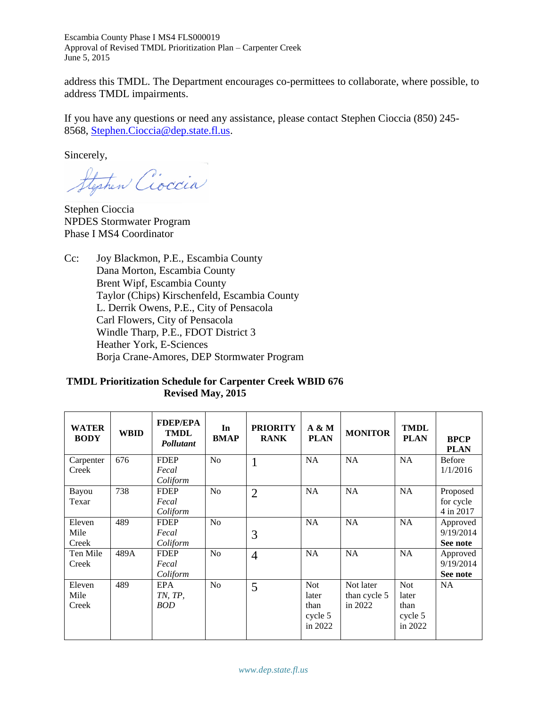Escambia County Phase I MS4 FLS000019 Approval of Revised TMDL Prioritization Plan – Carpenter Creek June 5, 2015

address this TMDL. The Department encourages co-permittees to collaborate, where possible, to address TMDL impairments.

If you have any questions or need any assistance, please contact Stephen Cioccia (850) 245- 8568, [Stephen.Cioccia@dep.state.fl.us.](mailto:Stephen.Cioccia@dep.state.fl.us)

Sincerely,

Stephen Cioccia

Stephen Cioccia NPDES Stormwater Program Phase I MS4 Coordinator

Cc: Joy Blackmon, P.E., Escambia County Dana Morton, Escambia County Brent Wipf, Escambia County Taylor (Chips) Kirschenfeld, Escambia County L. Derrik Owens, P.E., City of Pensacola Carl Flowers, City of Pensacola Windle Tharp, P.E., FDOT District 3 Heather York, E-Sciences Borja Crane-Amores, DEP Stormwater Program

## **TMDL Prioritization Schedule for Carpenter Creek WBID 676 Revised May, 2015**

| <b>WATER</b><br><b>BODY</b> | <b>WBID</b> | <b>FDEP/EPA</b><br><b>TMDL</b><br>Pollutant | In<br><b>BMAP</b> | <b>PRIORITY</b><br><b>RANK</b> | $A \& M$<br><b>PLAN</b> | <b>MONITOR</b> | <b>TMDL</b><br><b>PLAN</b> | <b>BPCP</b><br><b>PLAN</b> |
|-----------------------------|-------------|---------------------------------------------|-------------------|--------------------------------|-------------------------|----------------|----------------------------|----------------------------|
| Carpenter                   | 676         | <b>FDEP</b>                                 | N <sub>o</sub>    | 1                              | NA                      | NA             | <b>NA</b>                  | <b>Before</b>              |
| Creek                       |             | Fecal                                       |                   |                                |                         |                |                            | 1/1/2016                   |
|                             |             | Coliform                                    |                   |                                |                         |                |                            |                            |
| Bayou                       | 738         | <b>FDEP</b>                                 | No                | $\overline{2}$                 | <b>NA</b>               | <b>NA</b>      | NA                         | Proposed                   |
| Texar                       |             | Fecal                                       |                   |                                |                         |                |                            | for cycle                  |
|                             |             | Coliform                                    |                   |                                |                         |                |                            | 4 in 2017                  |
| Eleven                      | 489         | <b>FDEP</b>                                 | N <sub>o</sub>    |                                | <b>NA</b>               | <b>NA</b>      | <b>NA</b>                  | Approved                   |
| Mile                        |             | Fecal                                       |                   | 3                              |                         |                |                            | 9/19/2014                  |
| Creek                       |             | Coliform                                    |                   |                                |                         |                |                            | See note                   |
| Ten Mile                    | 489A        | <b>FDEP</b>                                 | N <sub>0</sub>    | $\overline{4}$                 | <b>NA</b>               | <b>NA</b>      | <b>NA</b>                  | Approved                   |
| Creek                       |             | Fecal                                       |                   |                                |                         |                |                            | 9/19/2014                  |
|                             |             | Coliform                                    |                   |                                |                         |                |                            | See note                   |
| Eleven                      | 489         | EPA                                         | N <sub>0</sub>    | 5                              | <b>Not</b>              | Not later      | <b>Not</b>                 | <b>NA</b>                  |
| Mile                        |             | TN, TP,                                     |                   |                                | later                   | than cycle 5   | later                      |                            |
| Creek                       |             | <b>BOD</b>                                  |                   |                                | than                    | in 2022        | than                       |                            |
|                             |             |                                             |                   |                                | cycle 5                 |                | cycle 5                    |                            |
|                             |             |                                             |                   |                                | in 2022                 |                | in 2022                    |                            |
|                             |             |                                             |                   |                                |                         |                |                            |                            |